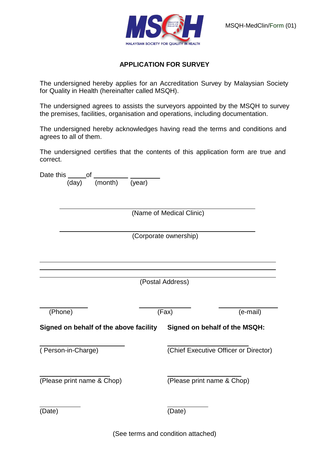



## **APPLICATION FOR SURVEY**

The undersigned hereby applies for an Accreditation Survey by Malaysian Society for Quality in Health (hereinafter called MSQH).

The undersigned agrees to assists the surveyors appointed by the MSQH to survey the premises, facilities, organisation and operations, including documentation.

The undersigned hereby acknowledges having read the terms and conditions and agrees to all of them.

The undersigned certifies that the contents of this application form are true and correct.

|                                        | Date this<br>of          |         |        |                                       |          |  |  |
|----------------------------------------|--------------------------|---------|--------|---------------------------------------|----------|--|--|
|                                        | (day)                    | (month) | (year) |                                       |          |  |  |
|                                        | (Name of Medical Clinic) |         |        |                                       |          |  |  |
|                                        |                          |         |        | (Corporate ownership)                 |          |  |  |
|                                        |                          |         |        | (Postal Address)                      |          |  |  |
|                                        |                          |         |        |                                       |          |  |  |
|                                        | (Phone)                  |         |        | (Fax)                                 | (e-mail) |  |  |
| Signed on behalf of the above facility |                          |         |        | Signed on behalf of the MSQH:         |          |  |  |
| (Person-in-Charge)                     |                          |         |        | (Chief Executive Officer or Director) |          |  |  |
| (Please print name & Chop)             |                          |         |        | (Please print name & Chop)            |          |  |  |
| (Date)                                 |                          |         |        | (Date)                                |          |  |  |

(See terms and condition attached)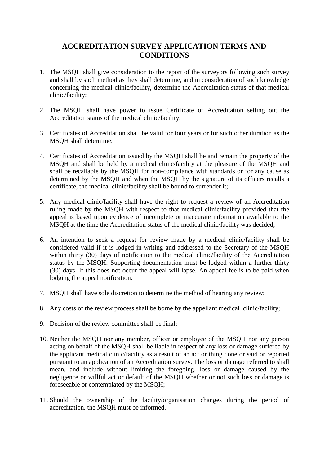## **ACCREDITATION SURVEY APPLICATION TERMS AND CONDITIONS**

- 1. The MSQH shall give consideration to the report of the surveyors following such survey and shall by such method as they shall determine, and in consideration of such knowledge concerning the medical clinic/facility, determine the Accreditation status of that medical clinic/facility;
- 2. The MSQH shall have power to issue Certificate of Accreditation setting out the Accreditation status of the medical clinic/facility;
- 3. Certificates of Accreditation shall be valid for four years or for such other duration as the MSQH shall determine;
- 4. Certificates of Accreditation issued by the MSQH shall be and remain the property of the MSQH and shall be held by a medical clinic/facility at the pleasure of the MSQH and shall be recallable by the MSQH for non-compliance with standards or for any cause as determined by the MSQH and when the MSQH by the signature of its officers recalls a certificate, the medical clinic/facility shall be bound to surrender it;
- 5. Any medical clinic/facility shall have the right to request a review of an Accreditation ruling made by the MSQH with respect to that medical clinic/facility provided that the appeal is based upon evidence of incomplete or inaccurate information available to the MSQH at the time the Accreditation status of the medical clinic/facility was decided;
- 6. An intention to seek a request for review made by a medical clinic/facility shall be considered valid if it is lodged in writing and addressed to the Secretary of the MSQH within thirty (30) days of notification to the medical clinic/facility of the Accreditation status by the MSQH. Supporting documentation must be lodged within a further thirty (30) days. If this does not occur the appeal will lapse. An appeal fee is to be paid when lodging the appeal notification.
- 7. MSQH shall have sole discretion to determine the method of hearing any review;
- 8. Any costs of the review process shall be borne by the appellant medical clinic/facility;
- 9. Decision of the review committee shall be final;
- 10. Neither the MSQH nor any member, officer or employee of the MSQH nor any person acting on behalf of the MSQH shall be liable in respect of any loss or damage suffered by the applicant medical clinic/facility as a result of an act or thing done or said or reported pursuant to an application of an Accreditation survey. The loss or damage referred to shall mean, and include without limiting the foregoing, loss or damage caused by the negligence or willful act or default of the MSQH whether or not such loss or damage is foreseeable or contemplated by the MSQH;
- 11. Should the ownership of the facility/organisation changes during the period of accreditation, the MSQH must be informed.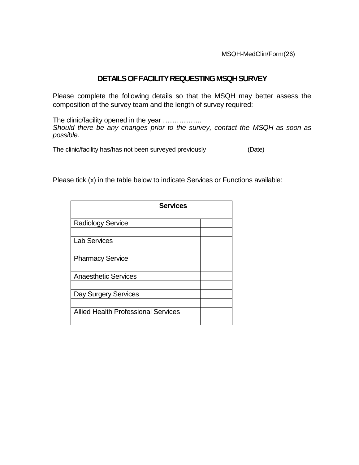MSQH-MedClin/Form(26)

## **DETAILS OF FACILITY REQUESTING MSQH SURVEY**

Please complete the following details so that the MSQH may better assess the composition of the survey team and the length of survey required:

The clinic/facility opened in the year ................. *Should there be any changes prior to the survey, contact the MSQH as soon as possible.* 

The clinic/facility has/has not been surveyed previously (Date)

Please tick (x) in the table below to indicate Services or Functions available:

| <b>Services</b>                            |  |
|--------------------------------------------|--|
| <b>Radiology Service</b>                   |  |
| <b>Lab Services</b>                        |  |
| <b>Pharmacy Service</b>                    |  |
|                                            |  |
| <b>Anaesthetic Services</b>                |  |
| Day Surgery Services                       |  |
| <b>Allied Health Professional Services</b> |  |
|                                            |  |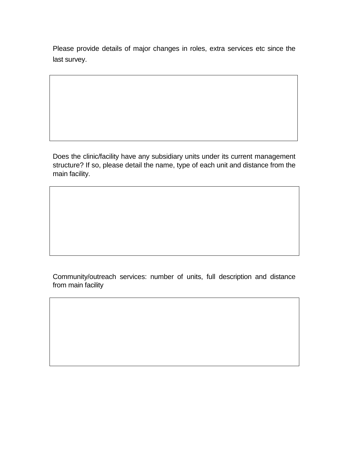Please provide details of major changes in roles, extra services etc since the last survey.

Does the clinic/facility have any subsidiary units under its current management structure? If so, please detail the name, type of each unit and distance from the main facility.

Community/outreach services: number of units, full description and distance from main facility